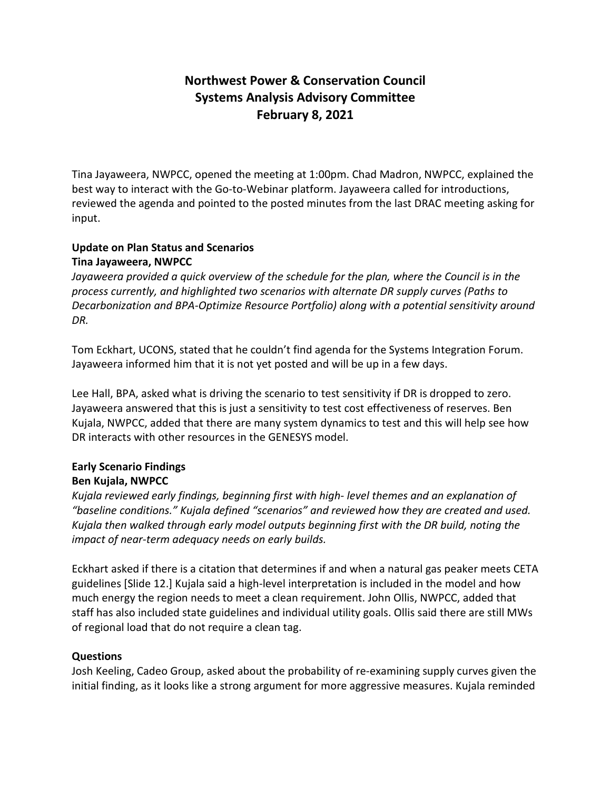# **Northwest Power & Conservation Council Systems Analysis Advisory Committee February 8, 2021**

Tina Jayaweera, NWPCC, opened the meeting at 1:00pm. Chad Madron, NWPCC, explained the best way to interact with the Go-to-Webinar platform. Jayaweera called for introductions, reviewed the agenda and pointed to the posted minutes from the last DRAC meeting asking for input.

### **Update on Plan Status and Scenarios Tina Jayaweera, NWPCC**

*Jayaweera provided a quick overview of the schedule for the plan, where the Council is in the process currently, and highlighted two scenarios with alternate DR supply curves (Paths to Decarbonization and BPA-Optimize Resource Portfolio) along with a potential sensitivity around DR.* 

Tom Eckhart, UCONS, stated that he couldn't find agenda for the Systems Integration Forum. Jayaweera informed him that it is not yet posted and will be up in a few days.

Lee Hall, BPA, asked what is driving the scenario to test sensitivity if DR is dropped to zero. Jayaweera answered that this is just a sensitivity to test cost effectiveness of reserves. Ben Kujala, NWPCC, added that there are many system dynamics to test and this will help see how DR interacts with other resources in the GENESYS model.

### **Early Scenario Findings Ben Kujala, NWPCC**

*Kujala reviewed early findings, beginning first with high- level themes and an explanation of "baseline conditions." Kujala defined "scenarios" and reviewed how they are created and used. Kujala then walked through early model outputs beginning first with the DR build, noting the impact of near-term adequacy needs on early builds.* 

Eckhart asked if there is a citation that determines if and when a natural gas peaker meets CETA guidelines [Slide 12.] Kujala said a high-level interpretation is included in the model and how much energy the region needs to meet a clean requirement. John Ollis, NWPCC, added that staff has also included state guidelines and individual utility goals. Ollis said there are still MWs of regional load that do not require a clean tag.

## **Questions**

Josh Keeling, Cadeo Group, asked about the probability of re-examining supply curves given the initial finding, as it looks like a strong argument for more aggressive measures. Kujala reminded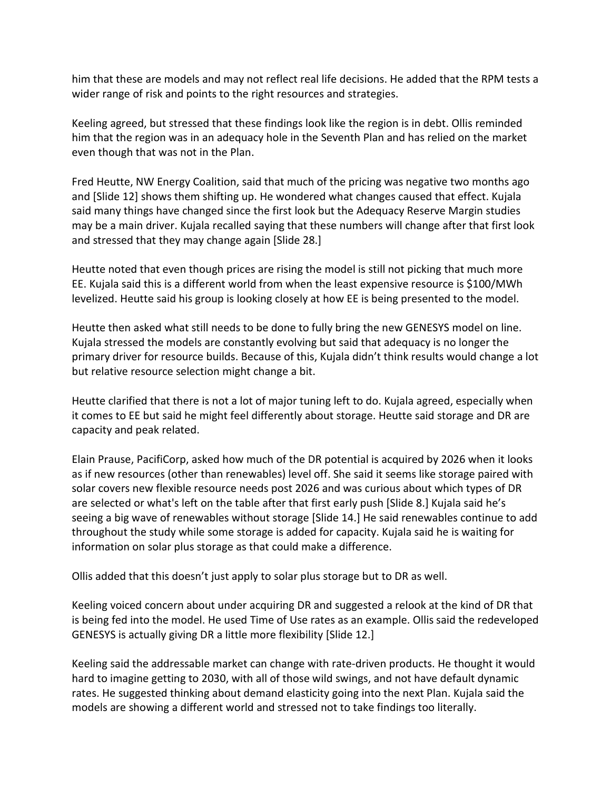him that these are models and may not reflect real life decisions. He added that the RPM tests a wider range of risk and points to the right resources and strategies.

Keeling agreed, but stressed that these findings look like the region is in debt. Ollis reminded him that the region was in an adequacy hole in the Seventh Plan and has relied on the market even though that was not in the Plan.

Fred Heutte, NW Energy Coalition, said that much of the pricing was negative two months ago and [Slide 12] shows them shifting up. He wondered what changes caused that effect. Kujala said many things have changed since the first look but the Adequacy Reserve Margin studies may be a main driver. Kujala recalled saying that these numbers will change after that first look and stressed that they may change again [Slide 28.]

Heutte noted that even though prices are rising the model is still not picking that much more EE. Kujala said this is a different world from when the least expensive resource is \$100/MWh levelized. Heutte said his group is looking closely at how EE is being presented to the model.

Heutte then asked what still needs to be done to fully bring the new GENESYS model on line. Kujala stressed the models are constantly evolving but said that adequacy is no longer the primary driver for resource builds. Because of this, Kujala didn't think results would change a lot but relative resource selection might change a bit.

Heutte clarified that there is not a lot of major tuning left to do. Kujala agreed, especially when it comes to EE but said he might feel differently about storage. Heutte said storage and DR are capacity and peak related.

Elain Prause, PacifiCorp, asked how much of the DR potential is acquired by 2026 when it looks as if new resources (other than renewables) level off. She said it seems like storage paired with solar covers new flexible resource needs post 2026 and was curious about which types of DR are selected or what's left on the table after that first early push [Slide 8.] Kujala said he's seeing a big wave of renewables without storage [Slide 14.] He said renewables continue to add throughout the study while some storage is added for capacity. Kujala said he is waiting for information on solar plus storage as that could make a difference.

Ollis added that this doesn't just apply to solar plus storage but to DR as well.

Keeling voiced concern about under acquiring DR and suggested a relook at the kind of DR that is being fed into the model. He used Time of Use rates as an example. Ollis said the redeveloped GENESYS is actually giving DR a little more flexibility [Slide 12.]

Keeling said the addressable market can change with rate-driven products. He thought it would hard to imagine getting to 2030, with all of those wild swings, and not have default dynamic rates. He suggested thinking about demand elasticity going into the next Plan. Kujala said the models are showing a different world and stressed not to take findings too literally.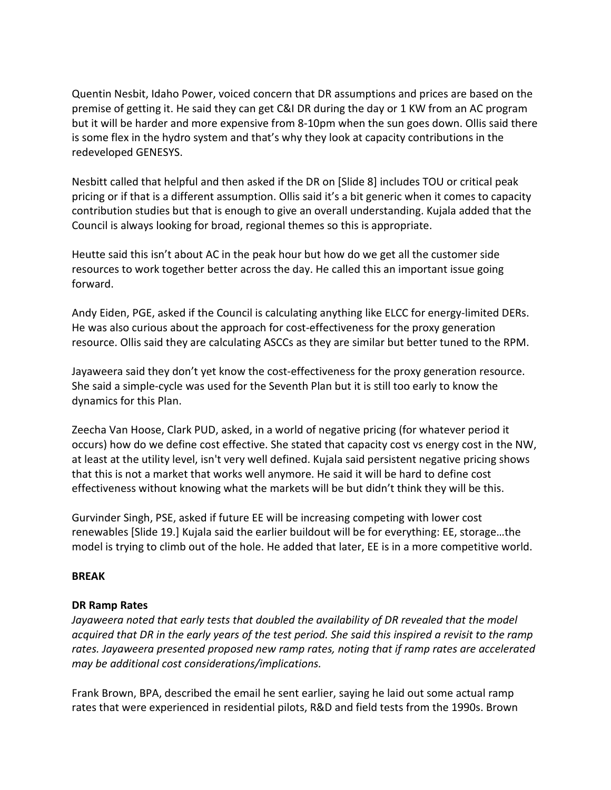Quentin Nesbit, Idaho Power, voiced concern that DR assumptions and prices are based on the premise of getting it. He said they can get C&I DR during the day or 1 KW from an AC program but it will be harder and more expensive from 8-10pm when the sun goes down. Ollis said there is some flex in the hydro system and that's why they look at capacity contributions in the redeveloped GENESYS.

Nesbitt called that helpful and then asked if the DR on [Slide 8] includes TOU or critical peak pricing or if that is a different assumption. Ollis said it's a bit generic when it comes to capacity contribution studies but that is enough to give an overall understanding. Kujala added that the Council is always looking for broad, regional themes so this is appropriate.

Heutte said this isn't about AC in the peak hour but how do we get all the customer side resources to work together better across the day. He called this an important issue going forward.

Andy Eiden, PGE, asked if the Council is calculating anything like ELCC for energy-limited DERs. He was also curious about the approach for cost-effectiveness for the proxy generation resource. Ollis said they are calculating ASCCs as they are similar but better tuned to the RPM.

Jayaweera said they don't yet know the cost-effectiveness for the proxy generation resource. She said a simple-cycle was used for the Seventh Plan but it is still too early to know the dynamics for this Plan.

Zeecha Van Hoose, Clark PUD, asked, in a world of negative pricing (for whatever period it occurs) how do we define cost effective. She stated that capacity cost vs energy cost in the NW, at least at the utility level, isn't very well defined. Kujala said persistent negative pricing shows that this is not a market that works well anymore. He said it will be hard to define cost effectiveness without knowing what the markets will be but didn't think they will be this.

Gurvinder Singh, PSE, asked if future EE will be increasing competing with lower cost renewables [Slide 19.] Kujala said the earlier buildout will be for everything: EE, storage…the model is trying to climb out of the hole. He added that later, EE is in a more competitive world.

#### **BREAK**

#### **DR Ramp Rates**

*Jayaweera noted that early tests that doubled the availability of DR revealed that the model acquired that DR in the early years of the test period. She said this inspired a revisit to the ramp rates. Jayaweera presented proposed new ramp rates, noting that if ramp rates are accelerated may be additional cost considerations/implications.*

Frank Brown, BPA, described the email he sent earlier, saying he laid out some actual ramp rates that were experienced in residential pilots, R&D and field tests from the 1990s. Brown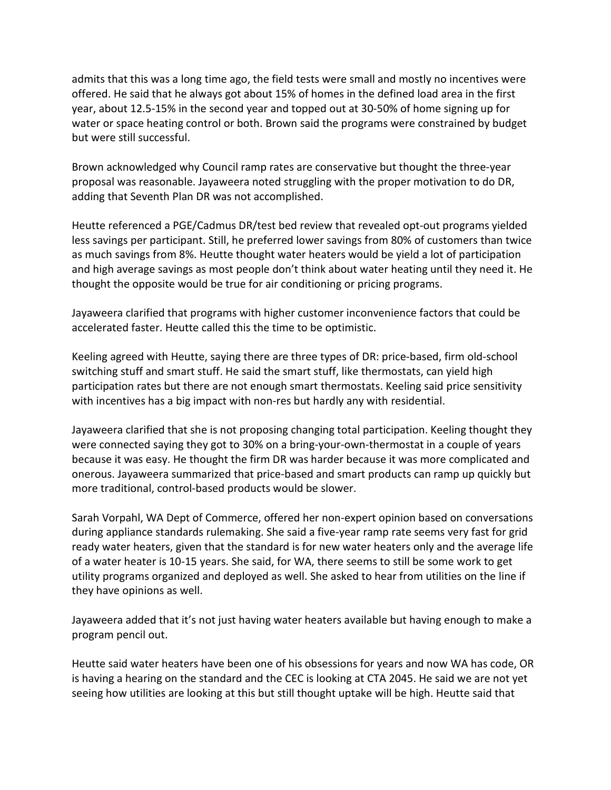admits that this was a long time ago, the field tests were small and mostly no incentives were offered. He said that he always got about 15% of homes in the defined load area in the first year, about 12.5-15% in the second year and topped out at 30-50% of home signing up for water or space heating control or both. Brown said the programs were constrained by budget but were still successful.

Brown acknowledged why Council ramp rates are conservative but thought the three-year proposal was reasonable. Jayaweera noted struggling with the proper motivation to do DR, adding that Seventh Plan DR was not accomplished.

Heutte referenced a PGE/Cadmus DR/test bed review that revealed opt-out programs yielded less savings per participant. Still, he preferred lower savings from 80% of customers than twice as much savings from 8%. Heutte thought water heaters would be yield a lot of participation and high average savings as most people don't think about water heating until they need it. He thought the opposite would be true for air conditioning or pricing programs.

Jayaweera clarified that programs with higher customer inconvenience factors that could be accelerated faster. Heutte called this the time to be optimistic.

Keeling agreed with Heutte, saying there are three types of DR: price-based, firm old-school switching stuff and smart stuff. He said the smart stuff, like thermostats, can yield high participation rates but there are not enough smart thermostats. Keeling said price sensitivity with incentives has a big impact with non-res but hardly any with residential.

Jayaweera clarified that she is not proposing changing total participation. Keeling thought they were connected saying they got to 30% on a bring-your-own-thermostat in a couple of years because it was easy. He thought the firm DR was harder because it was more complicated and onerous. Jayaweera summarized that price-based and smart products can ramp up quickly but more traditional, control-based products would be slower.

Sarah Vorpahl, WA Dept of Commerce, offered her non-expert opinion based on conversations during appliance standards rulemaking. She said a five-year ramp rate seems very fast for grid ready water heaters, given that the standard is for new water heaters only and the average life of a water heater is 10-15 years. She said, for WA, there seems to still be some work to get utility programs organized and deployed as well. She asked to hear from utilities on the line if they have opinions as well.

Jayaweera added that it's not just having water heaters available but having enough to make a program pencil out.

Heutte said water heaters have been one of his obsessions for years and now WA has code, OR is having a hearing on the standard and the CEC is looking at CTA 2045. He said we are not yet seeing how utilities are looking at this but still thought uptake will be high. Heutte said that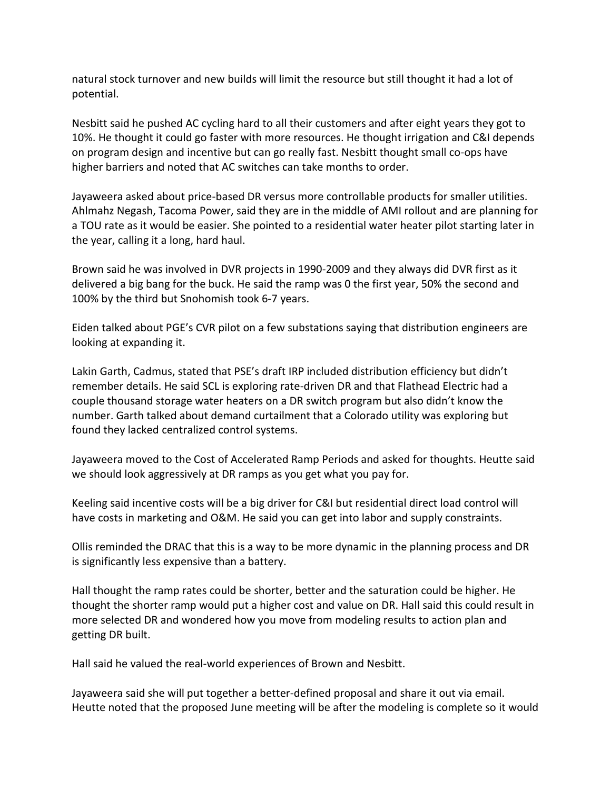natural stock turnover and new builds will limit the resource but still thought it had a lot of potential.

Nesbitt said he pushed AC cycling hard to all their customers and after eight years they got to 10%. He thought it could go faster with more resources. He thought irrigation and C&I depends on program design and incentive but can go really fast. Nesbitt thought small co-ops have higher barriers and noted that AC switches can take months to order.

Jayaweera asked about price-based DR versus more controllable products for smaller utilities. Ahlmahz Negash, Tacoma Power, said they are in the middle of AMI rollout and are planning for a TOU rate as it would be easier. She pointed to a residential water heater pilot starting later in the year, calling it a long, hard haul.

Brown said he was involved in DVR projects in 1990-2009 and they always did DVR first as it delivered a big bang for the buck. He said the ramp was 0 the first year, 50% the second and 100% by the third but Snohomish took 6-7 years.

Eiden talked about PGE's CVR pilot on a few substations saying that distribution engineers are looking at expanding it.

Lakin Garth, Cadmus, stated that PSE's draft IRP included distribution efficiency but didn't remember details. He said SCL is exploring rate-driven DR and that Flathead Electric had a couple thousand storage water heaters on a DR switch program but also didn't know the number. Garth talked about demand curtailment that a Colorado utility was exploring but found they lacked centralized control systems.

Jayaweera moved to the Cost of Accelerated Ramp Periods and asked for thoughts. Heutte said we should look aggressively at DR ramps as you get what you pay for.

Keeling said incentive costs will be a big driver for C&I but residential direct load control will have costs in marketing and O&M. He said you can get into labor and supply constraints.

Ollis reminded the DRAC that this is a way to be more dynamic in the planning process and DR is significantly less expensive than a battery.

Hall thought the ramp rates could be shorter, better and the saturation could be higher. He thought the shorter ramp would put a higher cost and value on DR. Hall said this could result in more selected DR and wondered how you move from modeling results to action plan and getting DR built.

Hall said he valued the real-world experiences of Brown and Nesbitt.

Jayaweera said she will put together a better-defined proposal and share it out via email. Heutte noted that the proposed June meeting will be after the modeling is complete so it would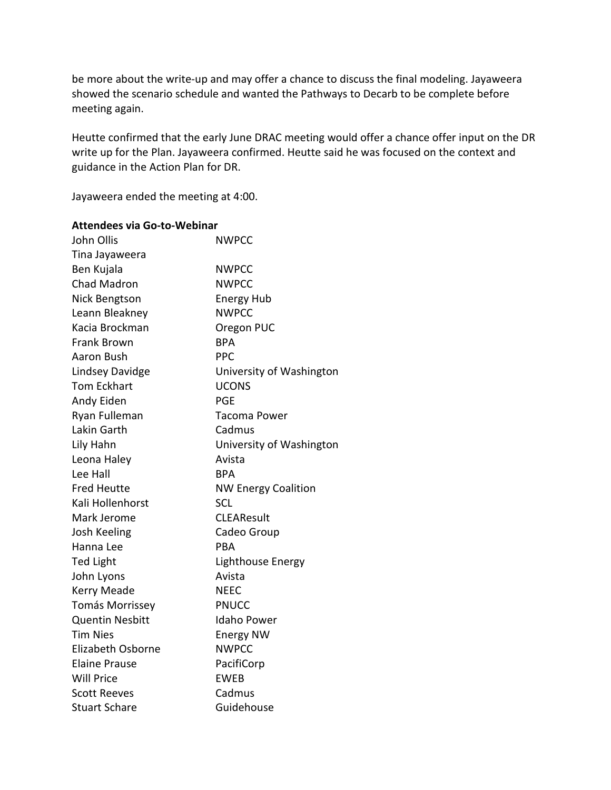be more about the write-up and may offer a chance to discuss the final modeling. Jayaweera showed the scenario schedule and wanted the Pathways to Decarb to be complete before meeting again.

Heutte confirmed that the early June DRAC meeting would offer a chance offer input on the DR write up for the Plan. Jayaweera confirmed. Heutte said he was focused on the context and guidance in the Action Plan for DR.

Jayaweera ended the meeting at 4:00.

#### **Attendees via Go-to-Webinar**

| John Ollis               | <b>NWPCC</b>               |
|--------------------------|----------------------------|
| Tina Jayaweera           |                            |
| Ben Kujala               | <b>NWPCC</b>               |
| <b>Chad Madron</b>       | <b>NWPCC</b>               |
| Nick Bengtson            | <b>Energy Hub</b>          |
| Leann Bleakney           | <b>NWPCC</b>               |
| Kacia Brockman           | Oregon PUC                 |
| <b>Frank Brown</b>       | <b>BPA</b>                 |
| Aaron Bush               | <b>PPC</b>                 |
| <b>Lindsey Davidge</b>   | University of Washington   |
| <b>Tom Eckhart</b>       | <b>UCONS</b>               |
| Andy Eiden               | <b>PGE</b>                 |
| Ryan Fulleman            | <b>Tacoma Power</b>        |
| Lakin Garth              | Cadmus                     |
| Lily Hahn                | University of Washington   |
| Leona Haley              | Avista                     |
| Lee Hall                 | <b>BPA</b>                 |
| <b>Fred Heutte</b>       | <b>NW Energy Coalition</b> |
| Kali Hollenhorst         | <b>SCL</b>                 |
| Mark Jerome              | <b>CLEAResult</b>          |
| Josh Keeling             | Cadeo Group                |
| Hanna Lee                | <b>PRA</b>                 |
| <b>Ted Light</b>         | Lighthouse Energy          |
| John Lyons               | Avista                     |
| Kerry Meade              | <b>NEEC</b>                |
| <b>Tomás Morrissey</b>   | <b>PNUCC</b>               |
| <b>Quentin Nesbitt</b>   | <b>Idaho Power</b>         |
| <b>Tim Nies</b>          | <b>Energy NW</b>           |
| <b>Elizabeth Osborne</b> | <b>NWPCC</b>               |
| <b>Elaine Prause</b>     | PacifiCorp                 |
| <b>Will Price</b>        | <b>EWEB</b>                |
| <b>Scott Reeves</b>      | Cadmus                     |
| <b>Stuart Schare</b>     | Guidehouse                 |